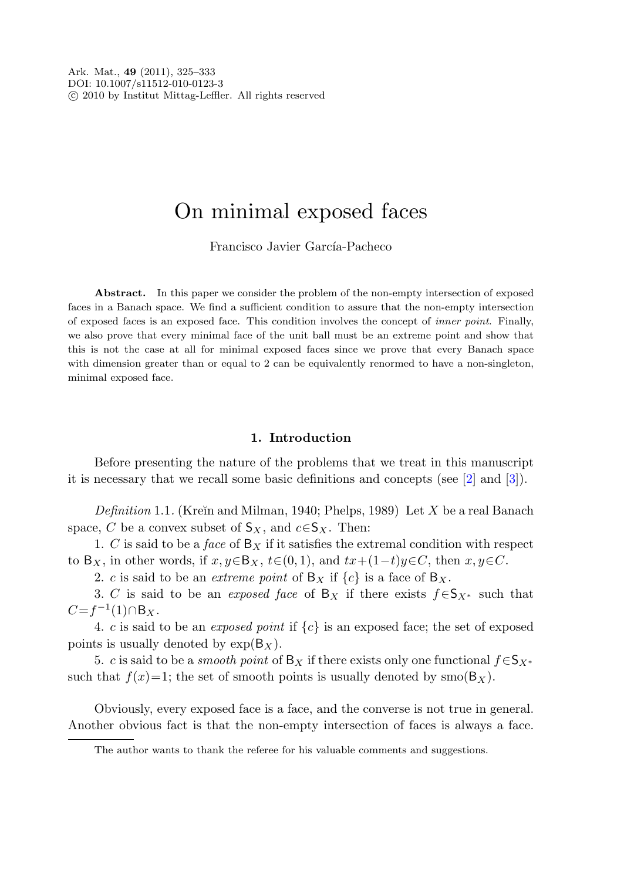# On minimal exposed faces

Francisco Javier García-Pacheco

**Abstract.** In this paper we consider the problem of the non-empty intersection of exposed faces in a Banach space. We find a sufficient condition to assure that the non-empty intersection of exposed faces is an exposed face. This condition involves the concept of inner point. Finally, we also prove that every minimal face of the unit ball must be an extreme point and show that this is not the case at all for minimal exposed faces since we prove that every Banach space with dimension greater than or equal to 2 can be equivalently renormed to have a non-singleton, minimal exposed face.

## **1. Introduction**

Before presenting the nature of the problems that we treat in this manuscript it is necessary that we recall some basic definitions and concepts (see [\[2](#page-8-0)] and [\[3](#page-8-1)]).

Definition 1.1. (Kreĭn and Milman, 1940; Phelps, 1989) Let X be a real Banach space, C be a convex subset of  $S_X$ , and  $c \in S_X$ . Then:

1. C is said to be a face of  $B<sub>X</sub>$  if it satisfies the extremal condition with respect to B<sub>X</sub>, in other words, if  $x, y \in B_X$ ,  $t \in (0, 1)$ , and  $tx+(1-t)y \in C$ , then  $x, y \in C$ .

2. c is said to be an *extreme point* of  $B_X$  if  $\{c\}$  is a face of  $B_X$ .

3. C is said to be an *exposed face* of B<sub>X</sub> if there exists  $f \in S_{X^*}$  such that  $C=f^{-1}(1)\cap B_X$ .

4. c is said to be an *exposed point* if  $\{c\}$  is an exposed face; the set of exposed points is usually denoted by  $\exp(B_X)$ .

5. c is said to be a *smooth point* of B<sub>X</sub> if there exists only one functional  $f \in S_{X^*}$ such that  $f(x)=1$ ; the set of smooth points is usually denoted by  $smo(B_X)$ .

Obviously, every exposed face is a face, and the converse is not true in general. Another obvious fact is that the non-empty intersection of faces is always a face.

The author wants to thank the referee for his valuable comments and suggestions.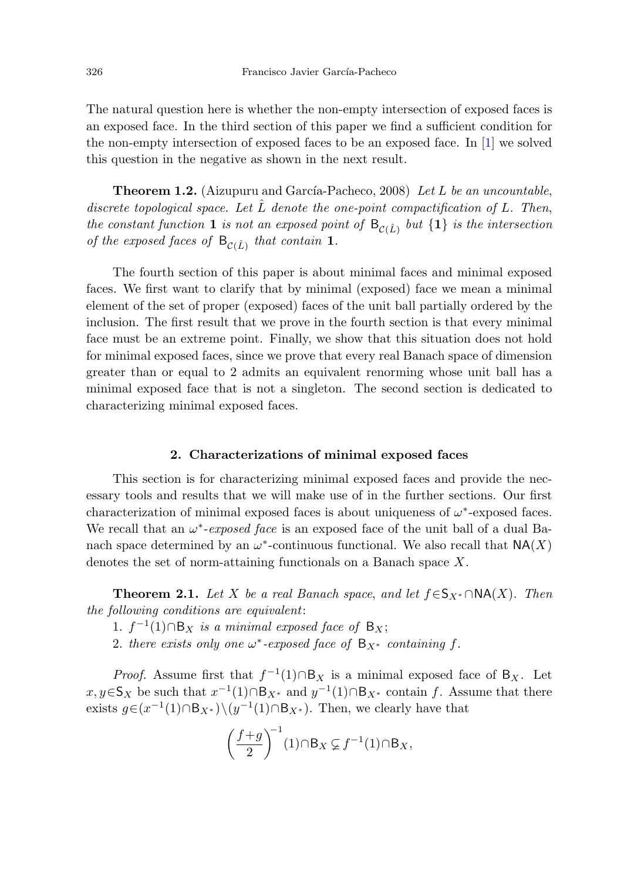The natural question here is whether the non-empty intersection of exposed faces is an exposed face. In the third section of this paper we find a sufficient condition for the non-empty intersection of exposed faces to be an exposed face. In [[1\]](#page-8-2) we solved this question in the negative as shown in the next result.

**Theorem 1.2.** (Aizupuru and García-Pacheco, 2008) Let L be an uncountable, discrete topological space. Let  $\hat{L}$  denote the one-point compactification of L. Then, the constant function **1** is not an exposed point of  $B_{\gamma(\hat{L})}$  but  $\{1\}$  is the intersection of the exposed faces of  $B_{\mathcal{C}(\hat{L})}$  that contain 1.

The fourth section of this paper is about minimal faces and minimal exposed faces. We first want to clarify that by minimal (exposed) face we mean a minimal element of the set of proper (exposed) faces of the unit ball partially ordered by the inclusion. The first result that we prove in the fourth section is that every minimal face must be an extreme point. Finally, we show that this situation does not hold for minimal exposed faces, since we prove that every real Banach space of dimension greater than or equal to 2 admits an equivalent renorming whose unit ball has a minimal exposed face that is not a singleton. The second section is dedicated to characterizing minimal exposed faces.

## **2. Characterizations of minimal exposed faces**

<span id="page-1-0"></span>This section is for characterizing minimal exposed faces and provide the necessary tools and results that we will make use of in the further sections. Our first characterization of minimal exposed faces is about uniqueness of  $\omega^*$ -exposed faces. We recall that an  $\omega^*$ -exposed face is an exposed face of the unit ball of a dual Banach space determined by an  $\omega^*$ -continuous functional. We also recall that  $NA(X)$ denotes the set of norm-attaining functionals on a Banach space X.

**Theorem 2.1.** Let X be a real Banach space, and let  $f \in S_{X*} \cap NA(X)$ . Then the following conditions are equivalent:

- 1.  $f^{-1}(1) ∩ B_X$  is a minimal exposed face of B<sub>X</sub>;
- 2. there exists only one  $\omega^*$ -exposed face of  $B_{X^*}$  containing f.

*Proof.* Assume first that  $f^{-1}(1) \cap B_X$  is a minimal exposed face of  $B_X$ . Let  $x, y \in S_X$  be such that  $x^{-1}(1) \cap B_{X^*}$  and  $y^{-1}(1) \cap B_{X^*}$  contain f. Assume that there exists  $g\in (x^{-1}(1)\cap B_{X^*})\setminus (y^{-1}(1)\cap B_{X^*})$ . Then, we clearly have that

$$
\left(\frac{f+g}{2}\right)^{-1}(1)\cap B_X \subsetneq f^{-1}(1)\cap B_X,
$$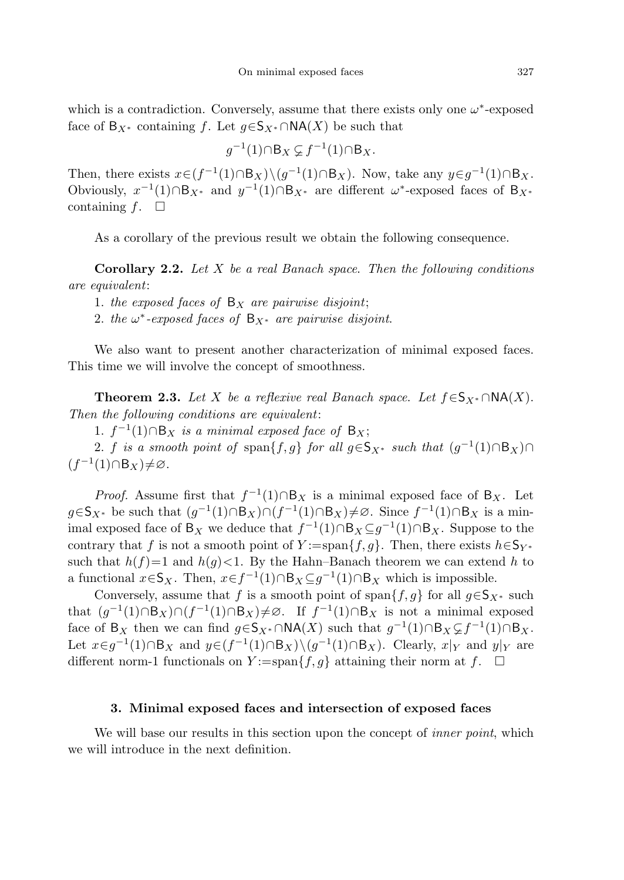which is a contradiction. Conversely, assume that there exists only one  $\omega^*$ -exposed face of  $B_{X^*}$  containing f. Let  $g\in S_{X^*} \cap NA(X)$  be such that

$$
g^{-1}(1) \cap B_X \subsetneq f^{-1}(1) \cap B_X.
$$

Then, there exists  $x \in (f^{-1}(1) \cap B_X) \setminus (q^{-1}(1) \cap B_X)$ . Now, take any  $y \in q^{-1}(1) \cap B_X$ . Obviously,  $x^{-1}(1) ∩ B_{X^*}$  and  $y^{-1}(1) ∩ B_{X^*}$  are different  $\omega^*$ -exposed faces of B<sub>X<sup>\*</sub></sup></sub> containing  $f$ .  $\Box$ 

As a corollary of the previous result we obtain the following consequence.

**Corollary 2***.***2.** Let X be a real Banach space. Then the following conditions are equivalent:

- 1. the exposed faces of  $B<sub>X</sub>$  are pairwise disjoint;
- 2. the  $\omega^*$ -exposed faces of  $B_{X^*}$  are pairwise disjoint.

We also want to present another characterization of minimal exposed faces. This time we will involve the concept of smoothness.

**Theorem 2.3.** Let X be a reflexive real Banach space. Let  $f \in S_{X*} \cap NA(X)$ . Then the following conditions are equivalent:

1.  $f^{-1}(1) ∩ B_X$  is a minimal exposed face of B<sub>x</sub>;

2. f is a smooth point of span $\{f,g\}$  for all  $g\in S_{X^*}$  such that  $(g^{-1}(1)\cap B_X)\cap$  $(f^{-1}(1)\cap B_X)\neq\varnothing$ .

*Proof.* Assume first that  $f^{-1}(1) \cap B_X$  is a minimal exposed face of  $B_X$ . Let  $g\in S_{X^*}$  be such that  $(g^{-1}(1)\cap B_X)\cap (f^{-1}(1)\cap B_X)\neq\emptyset$ . Since  $f^{-1}(1)\cap B_X$  is a minimal exposed face of B<sub>X</sub> we deduce that  $f^{-1}(1) \cap B_X \subseteq g^{-1}(1) \cap B_X$ . Suppose to the contrary that f is not a smooth point of Y :=span{f,g}. Then, there exists  $h \in \mathsf{S}_{Y^*}$ such that  $h(f)=1$  and  $h(g)<1$ . By the Hahn–Banach theorem we can extend h to a functional  $x \in S_X$ . Then,  $x \in f^{-1}(1) \cap B_X \subseteq g^{-1}(1) \cap B_X$  which is impossible.

Conversely, assume that f is a smooth point of span ${f, g}$  for all  $g \in S_{X^*}$  such that  $(g^{-1}(1) \cap B_X) \cap (f^{-1}(1) \cap B_X) \neq \emptyset$ . If  $f^{-1}(1) \cap B_X$  is not a minimal exposed face of B<sub>X</sub> then we can find  $g \in \mathsf{S}_{X^*} \cap \mathsf{NA}(X)$  such that  $g^{-1}(1) \cap \mathsf{B}_X \subsetneq f^{-1}(1) \cap \mathsf{B}_X$ . Let  $x \in g^{-1}(1) \cap B_X$  and  $y \in (f^{-1}(1) \cap B_X) \setminus (g^{-1}(1) \cap B_X)$ . Clearly,  $x|_Y$  and  $y|_Y$  are different norm-1 functionals on  $Y := \text{span}{f, g}$  attaining their norm at  $f$ .  $\Box$ 

#### **3. Minimal exposed faces and intersection of exposed faces**

We will base our results in this section upon the concept of *inner point*, which we will introduce in the next definition.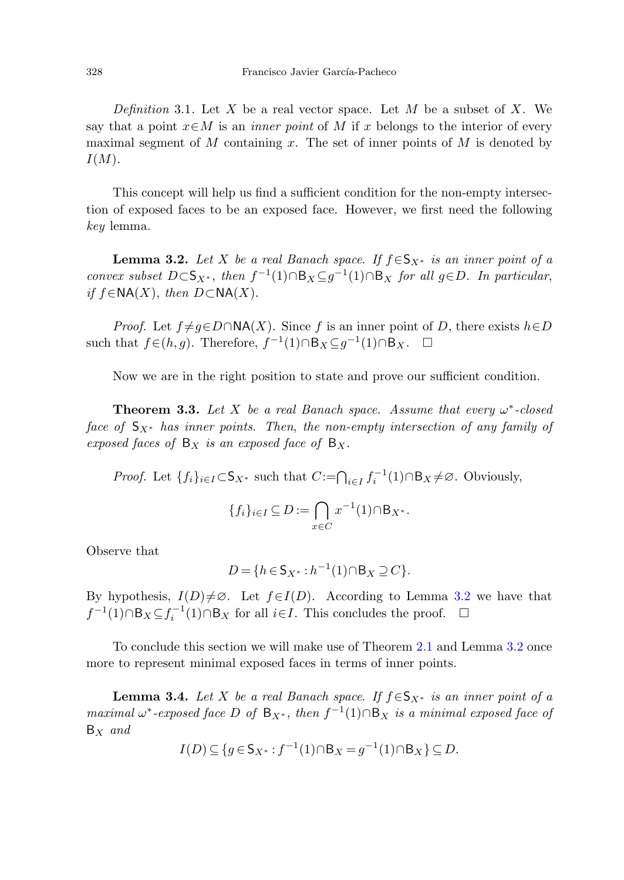<span id="page-3-0"></span>Definition 3.1. Let X be a real vector space. Let M be a subset of X. We say that a point  $x \in M$  is an *inner point* of M if x belongs to the interior of every maximal segment of M containing x. The set of inner points of M is denoted by  $I(M).$ 

This concept will help us find a sufficient condition for the non-empty intersection of exposed faces to be an exposed face. However, we first need the following key lemma.

**Lemma 3.2.** Let X be a real Banach space. If  $f \in S_{X^*}$  is an inner point of a convex subset  $D \subset S_{X^*}$ , then  $f^{-1}(1) \cap B_X \subseteq g^{-1}(1) \cap B_X$  for all  $g \in D$ . In particular, if  $f \in \text{NA}(X)$ , then  $D \subset \text{NA}(X)$ .

*Proof.* Let  $f \neq q \in D \cap N(A|X)$ . Since f is an inner point of D, there exists  $h \in D$ such that  $f \in (h, g)$ . Therefore,  $f^{-1}(1) \cap B_X \subseteq g^{-1}(1) \cap B_X$ .  $\Box$ 

Now we are in the right position to state and prove our sufficient condition.

**Theorem 3.3.** Let X be a real Banach space. Assume that every  $\omega^*$ -closed face of  $S_{X^*}$  has inner points. Then, the non-empty intersection of any family of exposed faces of  $B_X$  is an exposed face of  $B_X$ .

*Proof.* Let  $\{f_i\}_{i\in I} \subset S_{X^*}$  such that  $C := \bigcap_{i\in I} f_i^{-1}(1) \cap B_X \neq \emptyset$ . Obviously,

$$
\{f_i\}_{i\in I}\subseteq D:=\bigcap_{x\in C}x^{-1}(1)\cap B_{X^*}.
$$

Observe that

$$
D = \{ h \in S_{X^*} : h^{-1}(1) \cap B_X \supseteq C \}.
$$

<span id="page-3-1"></span>By hypothesis,  $I(D) \neq \emptyset$ . Let  $f \in I(D)$ . According to Lemma [3.2](#page-3-0) we have that  $f^{-1}(1) \cap B_X \subseteq f_i^{-1}(1) \cap B_X$  for all *i*∈*I*. This concludes the proof.  $\Box$ 

To conclude this section we will make use of Theorem [2.1](#page-1-0) and Lemma [3.2](#page-3-0) once more to represent minimal exposed faces in terms of inner points.

**Lemma 3.4.** Let X be a real Banach space. If  $f \in S_{X^*}$  is an inner point of a maximal  $\omega^*$ -exposed face D of B<sub>X<sup>\*</sup></sub>, then  $f^{-1}(1) \cap B_X$  is a minimal exposed face of  $B_X$  and

$$
I(D) \subseteq \{ g \in \mathsf{S}_{X^*} : f^{-1}(1) \cap \mathsf{B}_X = g^{-1}(1) \cap \mathsf{B}_X \} \subseteq D.
$$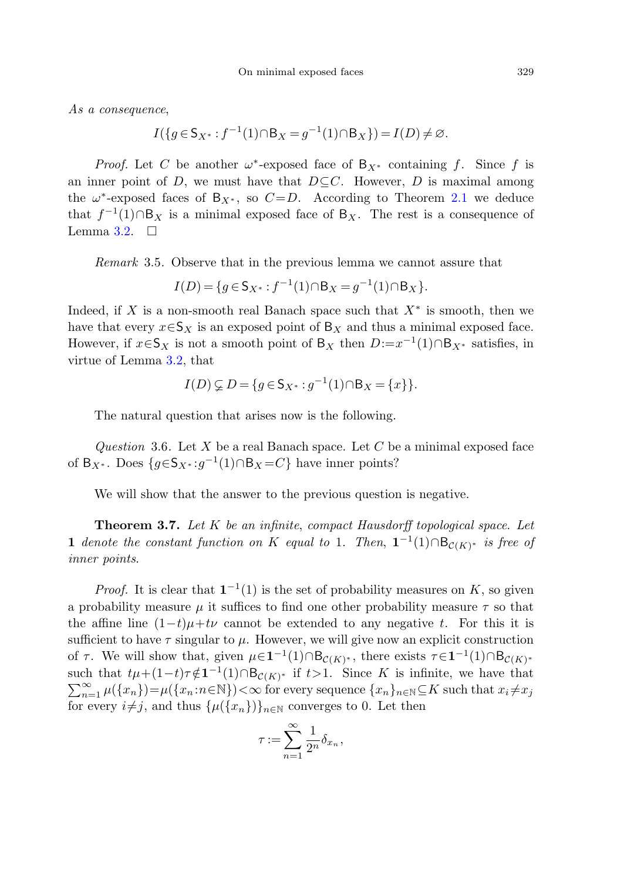As a consequence,

$$
I({g \in S_{X^*}: f^{-1}(1) \cap B_X = g^{-1}(1) \cap B_X}) = I(D) \neq \emptyset.
$$

*Proof.* Let C be another  $\omega^*$ -exposed face of  $B_{X^*}$  containing f. Since f is an inner point of D, we must have that  $D \subset C$ . However, D is maximal among the  $\omega^*$ -exposed faces of B<sub>X</sub><sup>\*</sup>, so  $C = D$ . According to Theorem [2.1](#page-1-0) we deduce that  $f^{-1}(1) \cap B_X$  is a minimal exposed face of  $B_X$ . The rest is a consequence of Lemma [3.2.](#page-3-0)  $\Box$ 

Remark 3.5. Observe that in the previous lemma we cannot assure that

$$
I(D) = \{ g \in \mathsf{S}_{X^*} : f^{-1}(1) \cap \mathsf{B}_X = g^{-1}(1) \cap \mathsf{B}_X \}.
$$

<span id="page-4-0"></span>Indeed, if X is a non-smooth real Banach space such that  $X^*$  is smooth, then we have that every  $x \in S_X$  is an exposed point of  $B_X$  and thus a minimal exposed face. However, if  $x \in S_X$  is not a smooth point of B<sub>X</sub> then  $D:=x^{-1}(1) \cap B_{X^*}$  satisfies, in virtue of Lemma [3.2](#page-3-0), that

$$
I(D) \subsetneq D = \{ g \in \mathsf{S}_{X^*} : g^{-1}(1) \cap \mathsf{B}_X = \{ x \} \}.
$$

<span id="page-4-1"></span>The natural question that arises now is the following.

Question 3.6. Let X be a real Banach space. Let C be a minimal exposed face of B<sub>X</sub><sup>\*</sup>. Does  $\{g \in S_{X^*}: g^{-1}(1) \cap B_X = C\}$  have inner points?

We will show that the answer to the previous question is negative.

**Theorem 3***.***7.** Let K be an infinite, compact Hausdorff topological space. Let **1** denote the constant function on K equal to 1. Then,  $\mathbf{1}^{-1}(1) \cap B_{\mathcal{C}(K)^*}$  is free of inner points.

*Proof.* It is clear that  $\mathbf{1}^{-1}(1)$  is the set of probability measures on K, so given a probability measure  $\mu$  it suffices to find one other probability measure  $\tau$  so that the affine line  $(1-t)\mu + tv$  cannot be extended to any negative t. For this it is sufficient to have  $\tau$  singular to  $\mu$ . However, we will give now an explicit construction of  $\tau$ . We will show that, given  $\mu \in \mathbf{1}^{-1}(1) \cap B_{\mathcal{C}(K)^*}$ , there exists  $\tau \in \mathbf{1}^{-1}(1) \cap B_{\mathcal{C}(K)^*}$ such that  $t\mu + (1-t)\tau \notin \mathbf{1}^{-1}(1) \cap \mathsf{B}_{\mathcal{C}(K)^*}$  if  $t > 1$ . Since K is infinite, we have that  $\sum_{n=1}^{\infty} \mu(\lbrace x_n \rbrace) = \mu(\lbrace x_n : n \in \mathbb{N} \rbrace) < \infty$  for every sequence  $\lbrace x_n \rbrace_{n \in \mathbb{N}} \subseteq K$  such that  $x_i \neq x_j$ for every  $i \neq j$ , and thus  $\{\mu({x_n})\}_{n \in \mathbb{N}}$  converges to 0. Let then

$$
\tau := \sum_{n=1}^{\infty} \frac{1}{2^n} \delta_{x_n},
$$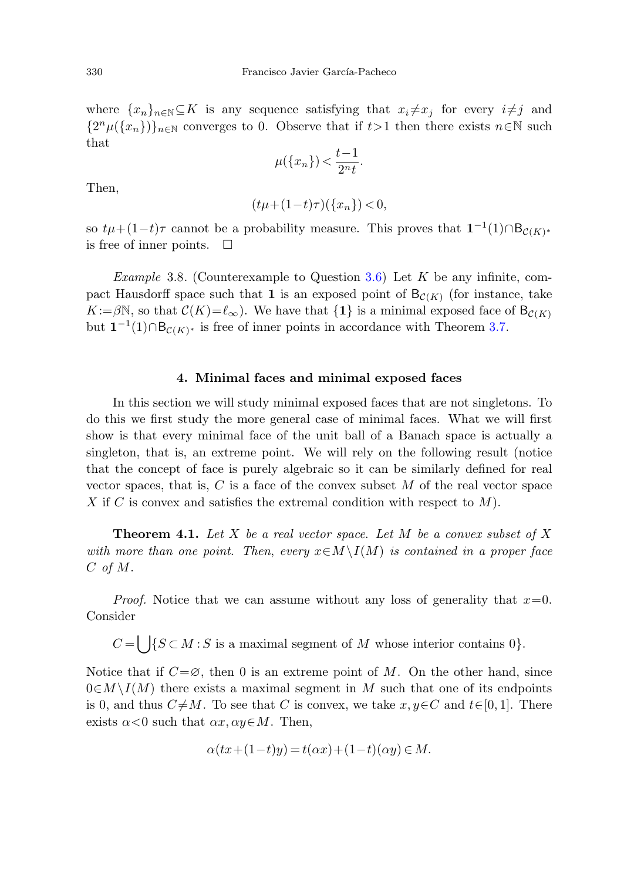where  $\{x_n\}_{n\in\mathbb{N}}\subset K$  is any sequence satisfying that  $x_i\neq x_j$  for every  $i\neq j$  and  ${2^n\mu({x_n})}_{n\in\mathbb{N}}$  converges to 0. Observe that if  $t>1$  then there exists  $n\in\mathbb{N}$  such that

$$
\mu(\lbrace x_n \rbrace) < \frac{t-1}{2^n t}.
$$

Then,

$$
(t\mu + (1-t)\tau)(\{x_n\}) < 0,
$$

so  $t\mu+(1-t)\tau$  cannot be a probability measure. This proves that  $\mathbf{1}^{-1}(1)\cap B_{\mathcal{C}(K)^*}$ is free of inner points.  $\Box$ 

*Example* 3.8. (Counterexample to Question [3.6](#page-4-0)) Let K be any infinite, compact Hausdorff space such that **1** is an exposed point of  $B_{\mathcal{C}(K)}$  (for instance, take  $K:=\beta\mathbb{N}$ , so that  $\mathcal{C}(K)=\ell_{\infty}$ ). We have that  $\{1\}$  is a minimal exposed face of  $B_{\mathcal{C}(K)}$ but  $1^{-1}(1) ∩ B_{\mathcal{C}(K)*}$  is free of inner points in accordance with Theorem [3.7.](#page-4-1)

#### **4. Minimal faces and minimal exposed faces**

<span id="page-5-0"></span>In this section we will study minimal exposed faces that are not singletons. To do this we first study the more general case of minimal faces. What we will first show is that every minimal face of the unit ball of a Banach space is actually a singleton, that is, an extreme point. We will rely on the following result (notice that the concept of face is purely algebraic so it can be similarly defined for real vector spaces, that is, C is a face of the convex subset  $M$  of the real vector space X if C is convex and satisfies the extremal condition with respect to  $M$ ).

**Theorem 4.1.** Let  $X$  be a real vector space. Let  $M$  be a convex subset of  $X$ with more than one point. Then, every  $x \in M \setminus I(M)$  is contained in a proper face C of M.

*Proof.* Notice that we can assume without any loss of generality that  $x=0$ . Consider

 $C = \bigcup \{S \subset M : S \text{ is a maximal segment of } M \text{ whose interior contains } 0\}.$ 

Notice that if  $C=\emptyset$ , then 0 is an extreme point of M. On the other hand, since  $0 \in M \setminus I(M)$  there exists a maximal segment in M such that one of its endpoints is 0, and thus  $C \neq M$ . To see that C is convex, we take  $x, y \in C$  and  $t \in [0, 1]$ . There exists  $\alpha < 0$  such that  $\alpha x, \alpha y \in M$ . Then,

$$
\alpha(tx+(1-t)y) = t(\alpha x) + (1-t)(\alpha y) \in M.
$$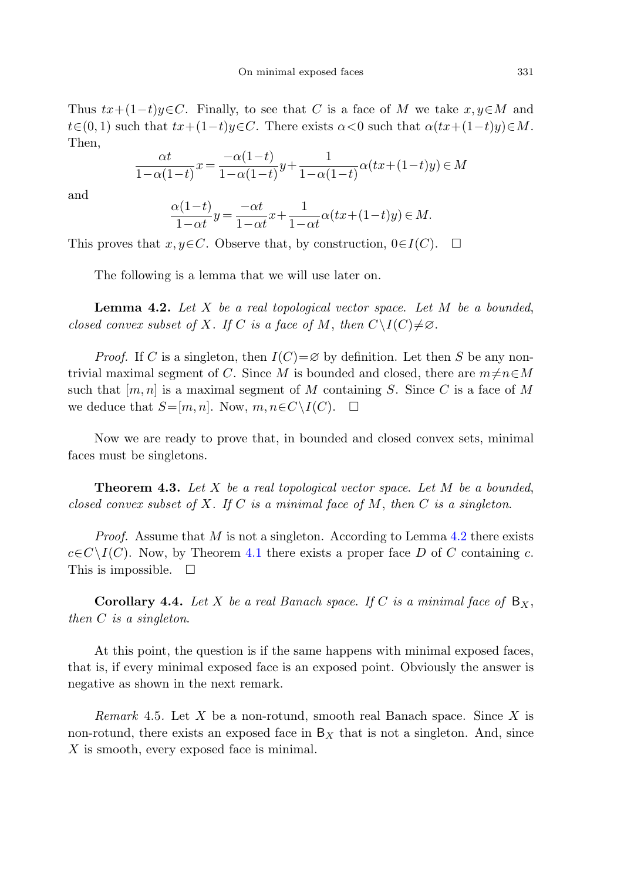Thus  $tx+(1-t)u\in C$ . Finally, to see that C is a face of M we take  $x, u\in M$  and  $t\in(0, 1)$  such that  $tx+(1-t)y\in\mathbb{C}$ . There exists  $\alpha<0$  such that  $\alpha(tx+(1-t)y)\in\mathbb{M}$ . Then,

$$
\frac{\alpha t}{1-\alpha(1-t)}x = \frac{-\alpha(1-t)}{1-\alpha(1-t)}y + \frac{1}{1-\alpha(1-t)}\alpha(tx + (1-t)y) \in M
$$

<span id="page-6-0"></span>and

$$
\frac{\alpha(1-t)}{1-\alpha t}y = \frac{-\alpha t}{1-\alpha t}x + \frac{1}{1-\alpha t}\alpha(tx + (1-t)y) \in M.
$$

This proves that  $x, y \in C$ . Observe that, by construction,  $0 \in I(C)$ .  $\Box$ 

The following is a lemma that we will use later on.

**Lemma 4***.***2.** Let X be a real topological vector space. Let M be a bounded, closed convex subset of X. If C is a face of M, then  $C\setminus I(C)\neq\emptyset$ .

*Proof.* If C is a singleton, then  $I(C) = \emptyset$  by definition. Let then S be any nontrivial maximal segment of C. Since M is bounded and closed, there are  $m \neq n \in M$ such that  $[m, n]$  is a maximal segment of M containing S. Since C is a face of M we deduce that  $S=[m, n]$ . Now,  $m, n \in C \setminus I(C)$ .  $\Box$ 

Now we are ready to prove that, in bounded and closed convex sets, minimal faces must be singletons.

**Theorem 4***.***3.** Let X be a real topological vector space. Let M be a bounded, closed convex subset of X. If C is a minimal face of M, then C is a singleton.

*Proof.* Assume that M is not a singleton. According to Lemma [4.2](#page-6-0) there exists  $c \in C \setminus I(C)$ . Now, by Theorem [4.1](#page-5-0) there exists a proper face D of C containing c. This is impossible.  $\Box$ 

**Corollary 4.4.** Let X be a real Banach space. If C is a minimal face of  $B_X$ , then C is a singleton.

At this point, the question is if the same happens with minimal exposed faces, that is, if every minimal exposed face is an exposed point. Obviously the answer is negative as shown in the next remark.

*Remark* 4.5. Let X be a non-rotund, smooth real Banach space. Since X is non-rotund, there exists an exposed face in  $B<sub>x</sub>$  that is not a singleton. And, since X is smooth, every exposed face is minimal.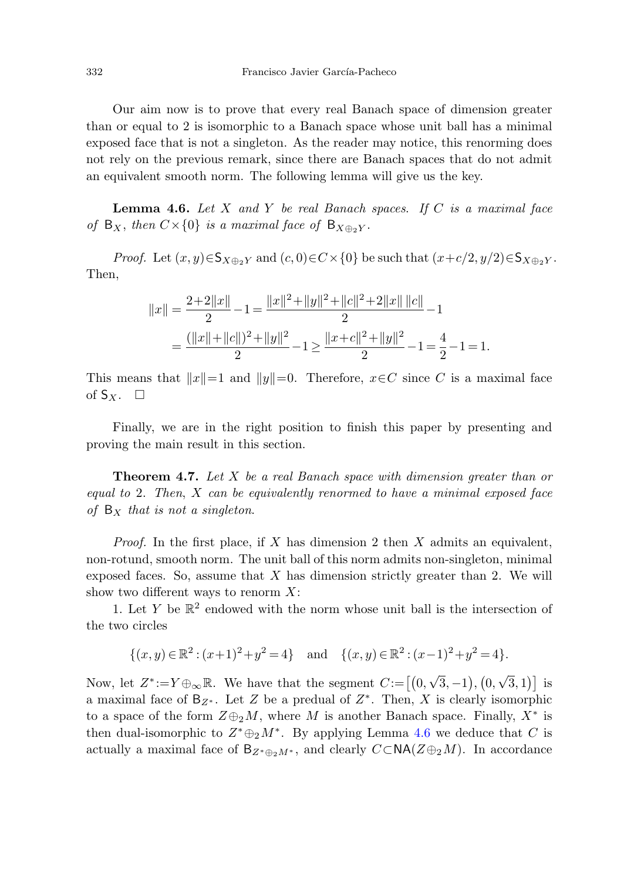<span id="page-7-0"></span>Our aim now is to prove that every real Banach space of dimension greater than or equal to 2 is isomorphic to a Banach space whose unit ball has a minimal exposed face that is not a singleton. As the reader may notice, this renorming does not rely on the previous remark, since there are Banach spaces that do not admit an equivalent smooth norm. The following lemma will give us the key.

**Lemma 4.6.** Let  $X$  and  $Y$  be real Banach spaces. If  $C$  is a maximal face of  $B_X$ , then  $C\times\{0\}$  is a maximal face of  $B_{X\oplus_2Y}$ .

*Proof.* Let  $(x, y) \in S_{X \oplus_2 Y}$  and  $(c, 0) \in C \times \{0\}$  be such that  $(x+c/2, y/2) \in S_{X \oplus_2 Y}$ . Then,

$$
||x|| = \frac{2+2||x||}{2} - 1 = \frac{||x||^2 + ||y||^2 + ||c||^2 + 2||x|| ||c||}{2} - 1
$$
  
= 
$$
\frac{(||x|| + ||c||)^2 + ||y||^2}{2} - 1 \ge \frac{||x+c||^2 + ||y||^2}{2} - 1 = \frac{4}{2} - 1 = 1.
$$

This means that  $||x||=1$  and  $||y||=0$ . Therefore,  $x \in C$  since C is a maximal face of  $S_X$ .  $\Box$ 

Finally, we are in the right position to finish this paper by presenting and proving the main result in this section.

**Theorem 4***.***7.** Let X be a real Banach space with dimension greater than or equal to 2. Then,  $X$  can be equivalently renormed to have a minimal exposed face of  $B_X$  that is not a singleton.

*Proof.* In the first place, if X has dimension 2 then X admits an equivalent, non-rotund, smooth norm. The unit ball of this norm admits non-singleton, minimal exposed faces. So, assume that  $X$  has dimension strictly greater than 2. We will show two different ways to renorm  $X$ :

1. Let Y be  $\mathbb{R}^2$  endowed with the norm whose unit ball is the intersection of the two circles

$$
\{(x,y)\in\mathbb{R}^2:(x+1)^2+y^2=4\} \text{ and } \{(x,y)\in\mathbb{R}^2:(x-1)^2+y^2=4\}.
$$

Now, let  $Z^*:=Y\oplus_{\infty}\mathbb{R}$ . We have that the segment  $C:=\left[\left(0,\sqrt{3},-1\right),\left(0,\sqrt{3},1\right)\right]$  is a maximal face of  $B_{Z^*}$ . Let Z be a predual of  $Z^*$ . Then, X is clearly isomorphic to a space of the form  $Z \oplus_2 M$ , where M is another Banach space. Finally,  $X^*$  is then dual-isomorphic to  $Z^* \oplus_2 M^*$ . By applying Lemma [4.6](#page-7-0) we deduce that C is actually a maximal face of  $B_{Z^*\oplus_2 M^*}$ , and clearly  $C\subset N\mathsf{A}(Z\oplus_2 M)$ . In accordance